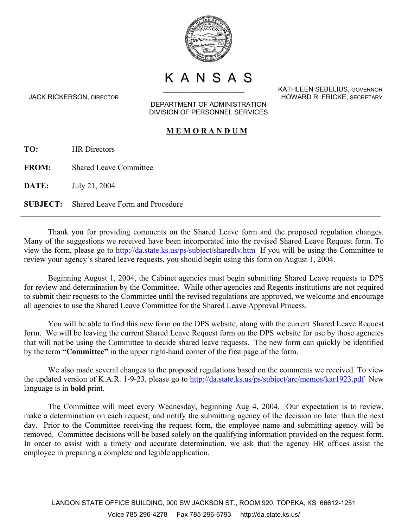

K A N S A S<br>KATHLEEN SEBELIUS, GOVERNOR

DEPARTMENT OF ADMINISTRATION DIVISION OF PERSONNEL SERVICES

## **M E M O R A N D U M**

**TO:** HR Directors

**FROM:** Shared Leave Committee

**DATE:** July 21, 2004

**SUBJECT:** Shared Leave Form and Procedure

Thank you for providing comments on the Shared Leave form and the proposed regulation changes. Many of the suggestions we received have been incorporated into the revised Shared Leave Request form. To view the form, please go to<http://da.state.ks.us/ps/subject/sharedlv.htm>If you will be using the Committee to review your agency's shared leave requests, you should begin using this form on August 1, 2004.

Beginning August 1, 2004, the Cabinet agencies must begin submitting Shared Leave requests to DPS for review and determination by the Committee. While other agencies and Regents institutions are not required to submit their requests to the Committee until the revised regulations are approved, we welcome and encourage all agencies to use the Shared Leave Committee for the Shared Leave Approval Process.

You will be able to find this new form on the DPS website, along with the current Shared Leave Request form. We will be leaving the current Shared Leave Request form on the DPS website for use by those agencies that will not be using the Committee to decide shared leave requests. The new form can quickly be identified by the term **"Committee"** in the upper right-hand corner of the first page of the form.

We also made several changes to the proposed regulations based on the comments we received. To view the updated version of K.A.R. 1-9-23, please go to<http://da.state.ks.us/ps/subject/arc/memos/kar1923.pdf>New language is in **bold** print.

The Committee will meet every Wednesday, beginning Aug 4, 2004. Our expectation is to review, make a determination on each request, and notify the submitting agency of the decision no later than the next day. Prior to the Committee receiving the request form, the employee name and submitting agency will be removed. Committee decisions will be based solely on the qualifying information provided on the request form. In order to assist with a timely and accurate determination, we ask that the agency HR offices assist the employee in preparing a complete and legible application.

JACK RICKERSON, DIRECTOR HOWARD R. FRICKE, SECRETARY